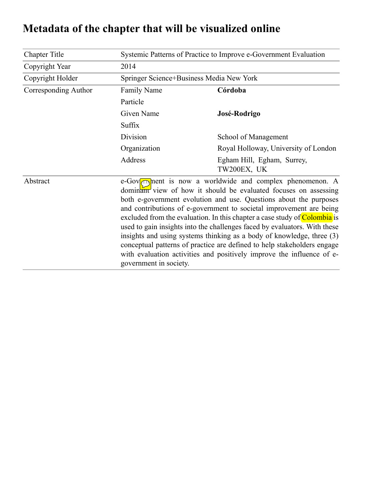# **Metadata of the chapter that will be visualized online**

| <b>Chapter Title</b> | Systemic Patterns of Practice to Improve e-Government Evaluation                                                                                                                                                                                                                                                                                                                                                                                                                                                                                                                                                                                                                                                     |                                           |  |
|----------------------|----------------------------------------------------------------------------------------------------------------------------------------------------------------------------------------------------------------------------------------------------------------------------------------------------------------------------------------------------------------------------------------------------------------------------------------------------------------------------------------------------------------------------------------------------------------------------------------------------------------------------------------------------------------------------------------------------------------------|-------------------------------------------|--|
| Copyright Year       | 2014                                                                                                                                                                                                                                                                                                                                                                                                                                                                                                                                                                                                                                                                                                                 |                                           |  |
| Copyright Holder     | Springer Science+Business Media New York                                                                                                                                                                                                                                                                                                                                                                                                                                                                                                                                                                                                                                                                             |                                           |  |
| Corresponding Author | <b>Family Name</b>                                                                                                                                                                                                                                                                                                                                                                                                                                                                                                                                                                                                                                                                                                   | Córdoba                                   |  |
|                      | Particle                                                                                                                                                                                                                                                                                                                                                                                                                                                                                                                                                                                                                                                                                                             |                                           |  |
|                      | Given Name                                                                                                                                                                                                                                                                                                                                                                                                                                                                                                                                                                                                                                                                                                           | José-Rodrigo                              |  |
|                      | Suffix                                                                                                                                                                                                                                                                                                                                                                                                                                                                                                                                                                                                                                                                                                               |                                           |  |
|                      | Division                                                                                                                                                                                                                                                                                                                                                                                                                                                                                                                                                                                                                                                                                                             | School of Management                      |  |
|                      | Organization                                                                                                                                                                                                                                                                                                                                                                                                                                                                                                                                                                                                                                                                                                         | Royal Holloway, University of London      |  |
|                      | Address                                                                                                                                                                                                                                                                                                                                                                                                                                                                                                                                                                                                                                                                                                              | Egham Hill, Egham, Surrey,<br>TW200EX, UK |  |
| Abstract             | e-Gov <sub>l</sub> <sub>(m)</sub> nent is now a worldwide and complex phenomenon. A<br>dominant view of how it should be evaluated focuses on assessing<br>both e-government evolution and use. Questions about the purposes<br>and contributions of e-government to societal improvement are being<br>excluded from the evaluation. In this chapter a case study of Colombia is<br>used to gain insights into the challenges faced by evaluators. With these<br>insights and using systems thinking as a body of knowledge, three (3)<br>conceptual patterns of practice are defined to help stakeholders engage<br>with evaluation activities and positively improve the influence of e-<br>government in society. |                                           |  |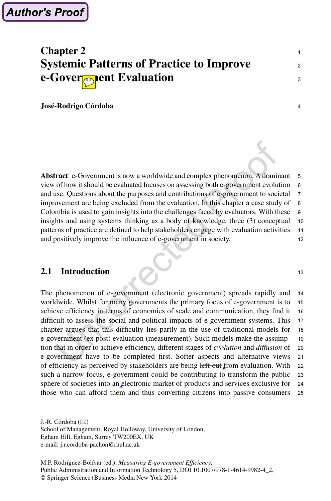### **Chapter 2 Systemic Patterns of Practice to Improve e-Gover** *e-Gover e-Gover e-Gover*

**José-Rodrigo Córdoba**

**Abstract** e-Government is now a worldwide and complex phenomenon. A dominant view of how it should be evaluated focuses on assessing both e-government evolution and use. Questions about the purposes and contributions of e-government to societal improvement are being excluded from the evaluation. In this chapter a case study of Colombia is used to gain insights into the challenges faced by evaluators. With these insights and using systems thinking as a body of knowledge, three (3) conceptual patterns of practice are defined to help stakeholders engage with evaluation activities and positively improve the influence of e-government in society. 5 6 7 8 9  $1<sub>0</sub>$ 11 12

### **2.1 Introduction**

The phenomenon of e-government (electronic government) spreads rapidly and worldwide. Whilst for many governments the primary focus of e-government is to achieve efficiency in terms of economies of scale and communication, they find it difficult to assess the social and political impacts of e-government systems. This chapter argues that this difficulty lies partly in the use of traditional models for e-government (ex post) evaluation (measurement). Such models make the assumption that in order to achieve efficiency, different stages of *evolution* and *diffusion* of e-government have to be completed first. Softer aspects and alternative views of efficiency as perceived by stakeholders are being left out from evaluation. With such a narrow focus, e-government could be contributing to transform the public sphere of societies into an electronic market of products and services exclusive for those who can afford them and thus converting citizens into passive consumers 14 15 16 17 18 19 20 21 22 23 24 25

M.P. Rodríguez-Bolívar (ed.), *Measuring E-government Efficiency*,

Public Administration and Information Technology 5, DOI 10.1007/978-1-4614-9982-4\_2, © Springer Science+Business Media New York 2014

13

1 2  $\mathbf{z}$ 

4

J.-R. Córdoba (⊠)

School of Management, Royal Holloway, University of London, Egham Hill, Egham, Surrey TW200EX, UK e-mail: j.r.cordoba-pachon@rhul.ac.uk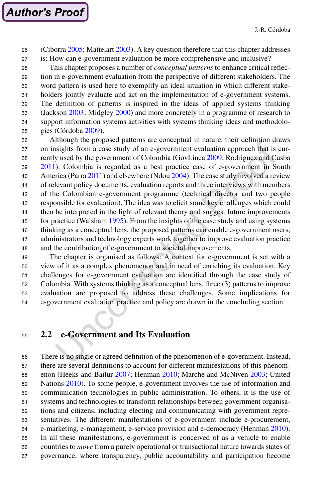(Ciborra [2005;](#page-14-0) Mattelart [2003\)](#page-15-0). A key question therefore that this chapter addresses 26

is: How can e-government evaluation be more comprehensive and inclusive? 27

This chapter proposes a number of *conceptual patterns* to enhance critical reflection in e-government evaluation from the perspective of different stakeholders. The word pattern is used here to exemplify an ideal situation in which different stakeholders jointly evaluate and act on the implementation of e-government systems. The definition of patterns is inspired in the ideas of applied systems thinking (Jackson [2003;](#page-15-0) Midgley [2000](#page-15-0)) and more concretely in a programme of research to support information systems activities with systems thinking ideas and methodologies (Córdoba [2009\)](#page-14-0). 28 29 30 31 32 33 34 35

Although the proposed patterns are conceptual in nature, their definition draws on insights from a case study of an e-government evaluation approach that is currently used by the government of Colombia (GovLinea [2009;](#page-15-0) Rodriguez and Cusba [2011\)](#page-16-0). Colombia is regarded as a best practice case of e-government in South America (Parra [2011\)](#page-16-0) and elsewhere (Ndou [2004\)](#page-15-0). The case study involved a review of relevant policy documents, evaluation reports and three interviews with members of the Colombian e-government programme (technical director and two people responsible for evaluation). The idea was to elicit some key challenges which could then be interpreted in the light of relevant theory and suggest future improvements for practice (Walsham [1995](#page-16-0)). From the insights of the case study and using systems thinking as a conceptual lens, the proposed patterns can enable e-government users, administrators and technology experts work together to improve evaluation practice and the contribution of e-government to societal improvements. 36 37 38 39 40 41 42 43 44 45 46 47 48

The chapter is organised as follows: A context for e-government is set with a view of it as a complex phenomenon and in need of enriching its evaluation. Key challenges for e-government evaluation are identified through the case study of Colombia. With systems thinking as a conceptual lens, three (3) patterns to improve evaluation are proposed to address these challenges. Some implications for e-government evaluation practice and policy are drawn in the concluding section. 49 50 51 52 53 54

#### **2.2 e-Government and Its Evaluation** 55

There is no single or agreed definition of the phenomenon of e-government. Instead, there are several definitions to account for different manifestations of this phenomenon (Heeks and Bailur [2007;](#page-15-0) Henman [2010;](#page-15-0) Marche and McNiven [2003;](#page-15-0) United Nations [2010\)](#page-16-0). To some people, e-government involves the use of information and communication technologies in public administration. To others, it is the use of systems and technologies to transform relationships between government organisations and citizens, including electing and communicating with government representatives. The different manifestations of e-government include e-procurement, e-marketing, e-management, e-service provision and e-democracy (Henman [2010\)](#page-15-0). In all these manifestations, e-government is conceived of as a vehicle to enable countries to *move* from a purely operational or transactional nature towards states of governance, where transparency, public accountability and participation become 56 57 58 59 60 61 62 63 64 65 66 67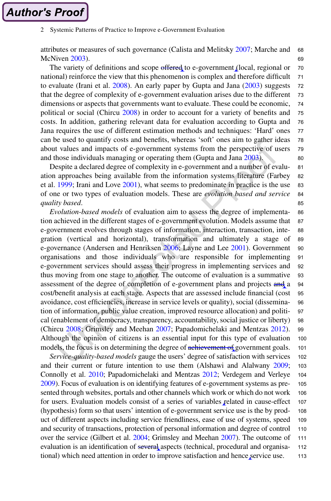- **Author's Proof** 
	- 2 Systemic Patterns of Practice to Improve e-Government Evaluation

attributes or measures of such governance (Calista and Melitsky [2007;](#page-14-0) Marche and McNiven [2003\)](#page-15-0). 68 69

The variety of definitions and scope offered to e-government (local, regional or national) reinforce the view that this phenomenon is complex and therefore difficult to evaluate (Irani et al. [2008](#page-15-0)). An early paper by Gupta and Jana [\(2003](#page-15-0)) suggests that the degree of complexity of e-government evaluation arises due to the different dimensions or aspects that governments want to evaluate. These could be economic, political or social (Chircu [2008\)](#page-14-0) in order to account for a variety of benefits and costs. In addition, gathering relevant data for evaluation according to Gupta and Jana requires the use of different estimation methods and techniques: 'Hard' ones can be used to quantify costs and benefits, whereas 'soft' ones aim to gather ideas about values and impacts of e-government systems from the perspective of users and those individuals managing or operating them (Gupta and Jana [2003](#page-15-0)). 70 71 72 73 74 75 76 77 78 79 80

Despite a declared degree of complexity in e-government and a number of evaluation approaches being available from the information systems literature (Farbey et al. [1999](#page-15-0); Irani and Love [2001\)](#page-15-0), what seems to predominate in practice is the use of one or two types of evaluation models. These are *evolution based and service quality based*. 81 82 83 84 85

*Evolution*-*based models* of evaluation aim to assess the degree of implementation achieved in the different stages of e-government evolution. Models assume that e-government evolves through stages of information, interaction, transaction, integration (vertical and horizontal), transformation and ultimately a stage of e-governance (Andersen and Henriksen [2006](#page-14-0); Layne and Lee [2001\)](#page-15-0). Government organisations and those individuals who are responsible for implementing e-government services should assess their progress in implementing services and thus moving from one stage to another. The outcome of evaluation is a summative assessment of the degree of completion of e-government plans and projects and a cost/benefit analysis at each stage. Aspects that are assessed include financial (cost avoidance, cost efficiencies, increase in service levels or quality), social (dissemination of information, public value creation, improved resource allocation) and political (enablement of democracy, transparency, accountability, social justice or liberty) (Chircu [2008;](#page-14-0) Grimsley and Meehan [2007](#page-15-0); Papadomichelaki and Mentzas [2012\)](#page-15-0). Although the opinion of citizens is an essential input for this type of evaluation models, the focus is on determining the degree of achievement of government goals. 86 87 88 89  $90$ 91 92 93 94 95 96 97 98 99 100 101

*Service*-*quality*-*based models* gauge the users' degree of satisfaction with services and their current or future intention to use them (Alshawi and Alalwany [2009;](#page-14-0) Connolly et al. [2010](#page-14-0); Papadomichelaki and Mentzas [2012](#page-15-0); Verdegem and Verleye [2009](#page-16-0)). Focus of evaluation is on identifying features of e-government systems as presented through websites, portals and other channels which work or which do not work for users. Evaluation models consist of a series of variables related in cause-effect (hypothesis) form so that users' intention of e-government service use is the by product of different aspects including service friendliness, ease of use of systems, speed and security of transactions, protection of personal information and degree of control over the service (Gilbert et al. [2004](#page-15-0); Grimsley and Meehan [2007](#page-15-0)). The outcome of evaluation is an identification of several aspects (technical, procedural and organisational) which need attention in order to improve satisfaction and hence service use. 102 103 104 105 106 107 108 109 110 111 112 113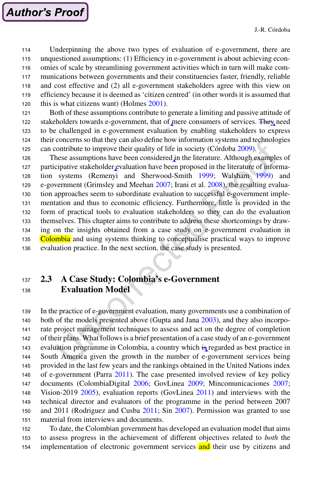Underpinning the above two types of evaluation of e-government, there are unquestioned assumptions: (1) Efficiency in e-government is about achieving economies of scale by streamlining government activities which in turn will make communications between governments and their constituencies faster, friendly, reliable and cost effective and (2) all e-government stakeholders agree with this view on efficiency because it is deemed as 'citizen centred' (in other words it is assumed that this is what citizens want) (Holmes [2001](#page-15-0)). 114 115 116 117 118 119 120

Both of these assumptions contribute to generate a limiting and passive attitude of stakeholders towards e-government, that of mere consumers of services. They need to be challenged in e-government evaluation by enabling stakeholders to express their concerns so that they can also define how information systems and technologies can contribute to improve their quality of life in society (Córdoba [2009](#page-14-0)). 121 122 123 124 125

These assumptions have been considered in the literature. Although examples of participative stakeholder evaluation have been proposed in the literature of information systems (Remenyi and Sherwood-Smith [1999](#page-16-0); Walsham [1999\)](#page-16-0) and e-government (Grimsley and Meehan [2007;](#page-15-0) Irani et al. [2008\)](#page-15-0), the resulting evaluation approaches seem to subordinate evaluation to successful e-government implementation and thus to economic efficiency. Furthermore, little is provided in the form of practical tools to evaluation stakeholders so they can do the evaluation themselves. This chapter aims to contribute to address these shortcomings by drawing on the insights obtained from a case study on e-government evaluation in Colombia and using systems thinking to conceptualise practical ways to improve evaluation practice. In the next section, the case study is presented. 126 127 128 129 130 131 132 133 134 135 136

#### **2.3 A Case Study: Colombia's e-Government Evaluation Model** 137 138

In the practice of e-government evaluation, many governments use a combination of both of the models presented above (Gupta and Jana [2003](#page-15-0)), and they also incorporate project management techniques to assess and act on the degree of completion of their plans. What follows is a brief presentation of a case study of an e-government evaluation programme in Colombia, a country which is regarded as best practice in South America given the growth in the number of e-government services being provided in the last few years and the rankings obtained in the United Nations index of e-government (Parra [2011](#page-16-0)). The case presented involved review of key policy documents (ColombiaDigital [2006](#page-14-0); GovLinea [2009](#page-15-0); Mincomunicaciones [2007;](#page-15-0) Vision-2019 [2005](#page-16-0)), evaluation reports (GovLinea [2011\)](#page-15-0) and interviews with the technical director and evaluators of the programme in the period between 2007 and 2011 (Rodriguez and Cusba [2011](#page-16-0); Sin [2007](#page-16-0)). Permission was granted to use material from interviews and documents. 139 140 141 142 143 144 145 146 147 148 149 150 151

To date, the Colombian government has developed an evaluation model that aims to assess progress in the achievement of different objectives related to *both* the implementation of electronic government services and their use by citizens and 152 153 154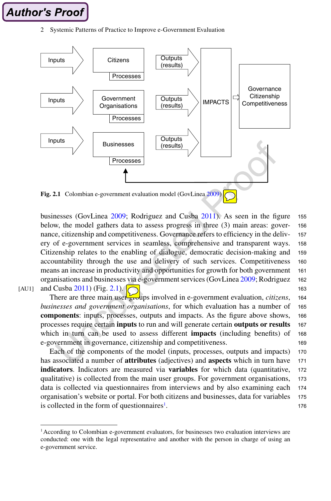

2 Systemic Patterns of Practice to Improve e-Government Evaluation



businesses (GovLinea [2009](#page-15-0); Rodriguez and Cusba [2011](#page-16-0)). As seen in the figure below, the model gathers data to assess progress in three (3) main areas: governance, citizenship and competitiveness. Governance refers to efficiency in the delivery of e-government services in seamless, comprehensive and transparent ways. Citizenship relates to the enabling of dialogue, democratic decision-making and accountability through the use and delivery of such services. Competitiveness means an increase in productivity and opportunities for growth for both government organisations and businesses via e-government services (GovLinea [2009](#page-15-0); Rodriguez and Cusba  $2011$ ) (Fig. 2.1). 155 156 157 158 159 160 161 162 163

[AU1]

There are three main user *groups* involved in e-government evaluation, *citizens*, *businesses and government organisations*, for which evaluation has a number of **components**: inputs, processes, outputs and impacts. As the figure above shows, processes require certain **inputs** to run and will generate certain **outputs or results** which in turn can be used to assess different **impacts** (including benefits) of e-government in governance, citizenship and competitiveness. 164 165 166 167 168 169

Each of the components of the model (inputs, processes, outputs and impacts) has associated a number of **attributes** (adjectives) and **aspects** which in turn have **indicators**. Indicators are measured via **variables** for which data (quantitative, qualitative) is collected from the main user groups. For government organisations, data is collected via questionnaires from interviews and by also examining each organisation's website or portal. For both citizens and businesses, data for variables is collected in the form of questionnaires<sup>1</sup>. 170 171 172 173 174 175 176

<sup>1</sup>According to Colombian e-government evaluators, for businesses two evaluation interviews are conducted: one with the legal representative and another with the person in charge of using an e-government service.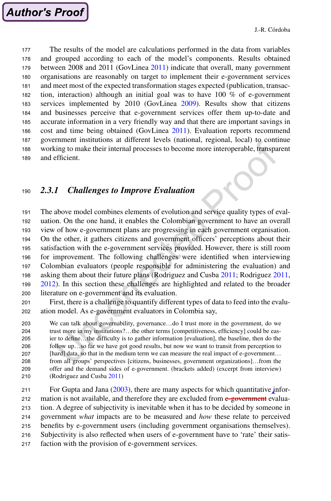The results of the model are calculations performed in the data from variables and grouped according to each of the model's components. Results obtained between 2008 and 2011 (GovLinea [2011](#page-15-0)) indicate that overall, many government organisations are reasonably on target to implement their e-government services and meet most of the expected transformation stages expected (publication, transaction, interaction) although an initial goal was to have 100 % of e-government services implemented by 2010 (GovLinea [2009\)](#page-15-0). Results show that citizens and businesses perceive that e-government services offer them up-to-date and accurate information in a very friendly way and that there are important savings in cost and time being obtained (GovLinea [2011](#page-15-0)). Evaluation reports recommend government institutions at different levels (national, regional, local) to continue working to make their internal processes to become more interoperable, transparent and efficient. 177 178 179 180 181 182 183 184 185 186 187 188 189

#### *2.3.1 Challenges to Improve Evaluation* 190

The above model combines elements of evolution and service quality types of evaluation. On the one hand, it enables the Colombian government to have an overall view of how e-government plans are progressing in each government organisation. On the other, it gathers citizens and government officers' perceptions about their satisfaction with the e-government services provided. However, there is still room for improvement. The following challenges were identified when interviewing Colombian evaluators (people responsible for administering the evaluation) and asking them about their future plans (Rodriguez and Cusba [2011](#page-16-0); Rodriguez [2011,](#page-16-0) [2012\)](#page-16-0). In this section these challenges are highlighted and related to the broader literature on e-government and its evaluation. 191 192 193 194 195 196 197 198 199 200

First, there is a challenge to quantify different types of data to feed into the evaluation model. As e-government evaluators in Colombia say, 201 202

We can talk about governability, governance…do I trust more in the government, do we trust more in my institutions?…the other terms [competitiveness, efficiency] could be easier to define…the difficulty is to gather information [evaluation], the baseline, then do the follow up…so far we have got good results, but now we want to transit from perception to [hard] data, so that in the medium term we can measure the real impact of e-government... from all groups' perspectives [citizens, businesses, government organizations]…from the offer and the demand sides of e-government. (brackets added) (excerpt from interview) (Rodriguez and Cusba [2011\)](#page-16-0) 203 204 205 206 207 208 209 210

For Gupta and Jana [\(2003](#page-15-0)), there are many aspects for which quantitative information is not available, and therefore they are excluded from e-government evaluation. A degree of subjectivity is inevitable when it has to be decided by someone in government *what* impacts are to be measured and *how* these relate to perceived benefits by e-government users (including government organisations themselves). Subjectivity is also reflected when users of e-government have to 'rate' their satisfaction with the provision of e-government services. 211 212 213 214 215 216 217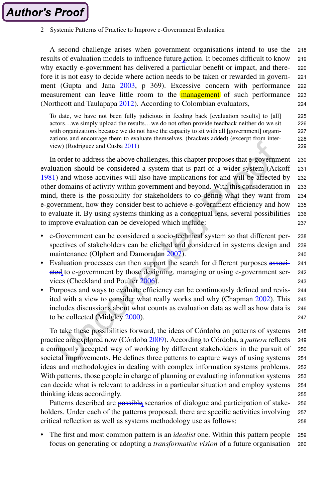- **Author's Proof** 
	- 2 Systemic Patterns of Practice to Improve e-Government Evaluation

A second challenge arises when government organisations intend to use the results of evaluation models to influence future action. It becomes difficult to know why exactly e-government has delivered a particular benefit or impact, and therefore it is not easy to decide where action needs to be taken or rewarded in government (Gupta and Jana [2003](#page-15-0), p 369). Excessive concern with performance measurement can leave little room to the **management** of such performance (Northcott and Taulapapa [2012](#page-15-0)). According to Colombian evaluators, 218 219 220 221 222 223 224

To date, we have not been fully judicious in feeding back [evaluation results] to [all] actors…we simply upload the results…we do not often provide feedback neither do we sit with organizations because we do not have the capacity to sit with all [government] organizations and encourage them to evaluate themselves. (brackets added) (excerpt from interview) (Rodriguez and Cusba [2011](#page-16-0)) 225 226 227 228 229

In order to address the above challenges, this chapter proposes that e-government evaluation should be considered a system that is part of a wider system (Ackoff [1981\)](#page-14-0) and whose activities will also have implications for and will be affected by other domains of activity within government and beyond. With this consideration in mind, there is the possibility for stakeholders to co-define what they want from e-government, how they consider best to achieve e-government efficiency and how to evaluate it. By using systems thinking as a conceptual lens, several possibilities to improve evaluation can be developed which include: 230 231 232 233 234 235 236 237

- • e-Government can be considered a socio-technical system so that different perspectives of stakeholders can be elicited and considered in systems design and maintenance (Olphert and Damoradan [2007](#page-15-0)). 238 239 240
- Evaluation processes can then support the search for different purposes associ-ated to e-government by those designing, managing or using e-government services (Checkland and Poulter [2006\)](#page-14-0). 241 242 243
- Purposes and ways to evaluate efficiency can be continuously defined and revisited with a view to consider what really works and why (Chapman [2002\)](#page-14-0). This includes discussions about what counts as evaluation data as well as how data is to be collected (Midgley [2000](#page-15-0)). 244 245 246 247

To take these possibilities forward, the ideas of Córdoba on patterns of systems practice are explored now (Córdoba [2009\)](#page-14-0). According to Córdoba, a *pattern* reflects a commonly accepted way of working by different stakeholders in the pursuit of societal improvements. He defines three patterns to capture ways of using systems ideas and methodologies in dealing with complex information systems problems. With patterns, those people in charge of planning or evaluating information systems can decide what is relevant to address in a particular situation and employ systems thinking ideas accordingly. 248 249 250 251 252 253 254 255

Patterns described are possible scenarios of dialogue and participation of stakeholders. Under each of the patterns proposed, there are specific activities involving critical reflection as well as systems methodology use as follows: 256 257 258

The first and most common pattern is an *idealist* one. Within this pattern people focus on generating or adopting a *transformative vision* of a future organisation 259 260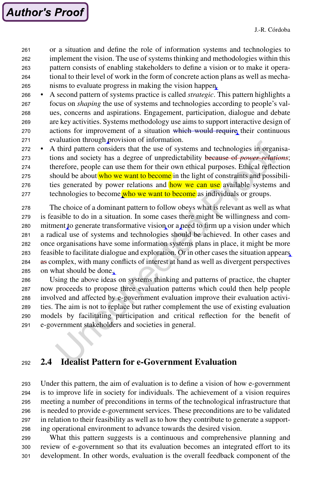

or a situation and define the role of information systems and technologies to implement the vision. The use of systems thinking and methodologies within this pattern consists of enabling stakeholders to define a vision or to make it operational to their level of work in the form of concrete action plans as well as mechanisms to evaluate progress in making the vision happen. 261 262 263 264 265

- A second pattern of systems practice is called *strategic*. This pattern highlights a focus on *shaping* the use of systems and technologies according to people's values, concerns and aspirations. Engagement, participation, dialogue and debate are key activities. Systems methodology use aims to support interactive design of actions for improvement of a situation which would require their continuous evaluation through provision of information. 266 267 268 269 270 271
- A third pattern considers that the use of systems and technologies in organisations and society has a degree of unpredictability because of *power relations*; therefore, people can use them for their own ethical purposes. Ethical reflection should be about who we want to become in the light of constraints and possibilities generated by power relations and **how we can use** available systems and technologies to become who we want to become as individuals or groups. 272 273 274 275 276 277

The choice of a dominant pattern to follow obeys what is relevant as well as what is feasible to do in a situation. In some cases there might be willingness and commitment to generate transformative vision or a need to firm up a vision under which a radical use of systems and technologies should be achieved. In other cases and once organisations have some information systems plans in place, it might be more feasible to facilitate dialogue and exploration. Or in other cases the situation appears as complex, with many conflicts of interest at hand as well as divergent perspectives on what should be done. 278 279 280 281 282 283 284 285

Using the above ideas on systems thinking and patterns of practice, the chapter now proceeds to propose three evaluation patterns which could then help people involved and affected by e-government evaluation improve their evaluation activities. The aim is not to replace but rather complement the use of existing evaluation models by facilitating participation and critical reflection for the benefit of e-government stakeholders and societies in general. 286 287 288 289 290 291

#### **2.4 Idealist Pattern for e-Government Evaluation** 292

Under this pattern, the aim of evaluation is to define a vision of how e-government is to improve life in society for individuals. The achievement of a vision requires meeting a number of preconditions in terms of the technological infrastructure that is needed to provide e-government services. These preconditions are to be validated in relation to their feasibility as well as to how they contribute to generate a supporting operational environment to advance towards the desired vision. 293 294 295 296 297 298

What this pattern suggests is a continuous and comprehensive planning and review of e-government so that its evaluation becomes an integrated effort to its development. In other words, evaluation is the overall feedback component of the 299 300 301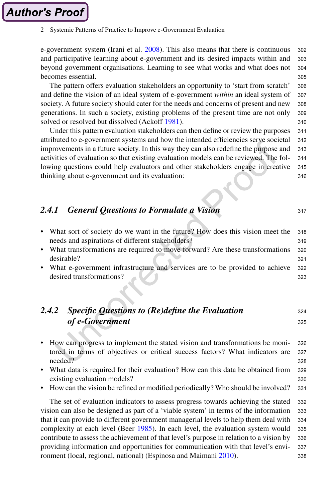- **Author's Proof** 
	- 2 Systemic Patterns of Practice to Improve e-Government Evaluation

e-government system (Irani et al. [2008](#page-15-0)). This also means that there is continuous and participative learning about e-government and its desired impacts within and beyond government organisations. Learning to see what works and what does not becomes essential. 302 303 304 305

The pattern offers evaluation stakeholders an opportunity to 'start from scratch' and define the vision of an ideal system of e-government *within* an ideal system of society. A future society should cater for the needs and concerns of present and new generations. In such a society, existing problems of the present time are not only solved or resolved but dissolved (Ackoff [1981](#page-14-0)). 306 307 308 309 310

Under this pattern evaluation stakeholders can then define or review the purposes attributed to e-government systems and how the intended efficiencies serve societal improvements in a future society. In this way they can also redefine the purpose and activities of evaluation so that existing evaluation models can be reviewed. The following questions could help evaluators and other stakeholders engage in creative thinking about e-government and its evaluation: 311 312 313 314 315 316

### *2.4.1 General Questions to Formulate a Vision*

| • What sort of society do we want in the future? How does this vision meet the 318 |     |
|------------------------------------------------------------------------------------|-----|
| needs and aspirations of different stakeholders?                                   | 319 |
| • What transformations are required to move forward? Are these transformations     | 320 |
| desirable?                                                                         | 321 |
| • What e-government infrastructure and services are to be provided to achieve 322  |     |
| desired transformations?                                                           | 323 |

317

#### *2.4.2 Specific Questions to (Re)define the Evaluation of e-Government* 324 325

- How can progress to implement the stated vision and transformations be monitored in terms of objectives or critical success factors? What indicators are needed? 326 327 328
- What data is required for their evaluation? How can this data be obtained from existing evaluation models? 329 330
- How can the vision be refined or modified periodically? Who should be involved? 331

The set of evaluation indicators to assess progress towards achieving the stated vision can also be designed as part of a 'viable system' in terms of the information that it can provide to different government managerial levels to help them deal with complexity at each level (Beer [1985](#page-14-0)). In each level, the evaluation system would contribute to assess the achievement of that level's purpose in relation to a vision by providing information and opportunities for communication with that level's environment (local, regional, national) (Espinosa and Maimani [2010\)](#page-14-0). 332 333 334 335 336 337 338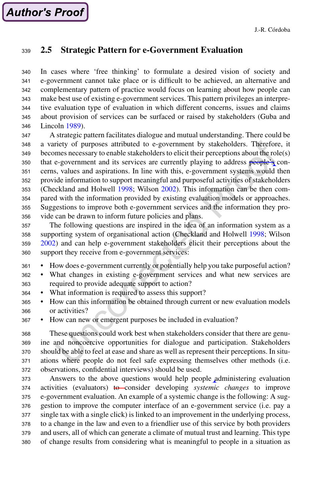#### **2.5 Strategic Pattern for e-Government Evaluation** 339

In cases where 'free thinking' to formulate a desired vision of society and e-government cannot take place or is difficult to be achieved, an alternative and complementary pattern of practice would focus on learning about how people can make best use of existing e-government services. This pattern privileges an interpretive evaluation type of evaluation in which different concerns, issues and claims about provision of services can be surfaced or raised by stakeholders (Guba and Lincoln [1989](#page-15-0)). 340 341 342 343 344 345 346

A strategic pattern facilitates dialogue and mutual understanding. There could be a variety of purposes attributed to e-government by stakeholders. Therefore, it becomes necessary to enable stakeholders to elicit their perceptions about the role(s) that e-government and its services are currently playing to address people's concerns, values and aspirations. In line with this, e-government systems would then provide information to support meaningful and purposeful activities of stakeholders (Checkland and Holwell [1998](#page-14-0); Wilson [2002](#page-16-0)). This information can be then compared with the information provided by existing evaluation models or approaches. Suggestions to improve both e-government services and the information they provide can be drawn to inform future policies and plans. 347 348 349 350 351 352 353 354 355 356

The following questions are inspired in the idea of an information system as a supporting system of organisational action (Checkland and Holwell [1998](#page-14-0); Wilson [2002\)](#page-16-0) and can help e-government stakeholders elicit their perceptions about the support they receive from e-government services: 357 358 359 360

- How does e-government currently or potentially help you take purposeful action? 361
- What changes in existing e-government services and what new services are required to provide adequate support to action? 362 363
- What information is required to assess this support? 364
- How can this information be obtained through current or new evaluation models or activities? 365 366
- How can new or emergent purposes be included in evaluation? 367

These questions could work best when stakeholders consider that there are genuine and noncoercive opportunities for dialogue and participation. Stakeholders should be able to feel at ease and share as well as represent their perceptions. In situations where people do not feel safe expressing themselves other methods (i.e. observations, confidential interviews) should be used. 368 369 370 371 372

Answers to the above questions would help people administering evaluation activities (evaluators) to consider developing *systemic changes* to improve e-government evaluation. An example of a systemic change is the following: A suggestion to improve the computer interface of an e-government service (i.e. pay a single tax with a single click) is linked to an improvement in the underlying process, to a change in the law and even to a friendlier use of this service by both providers and users, all of which can generate a climate of mutual trust and learning. This type of change results from considering what is meaningful to people in a situation as 373 374 375 376 377 378 379 380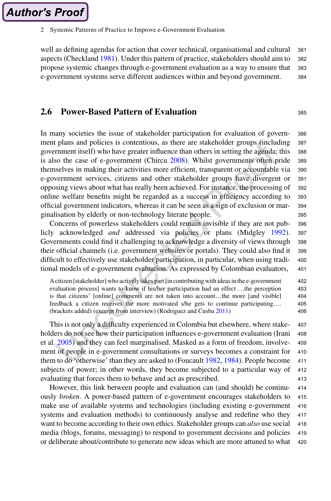**Author's Proof** 

2 Systemic Patterns of Practice to Improve e-Government Evaluation

well as defining agendas for action that cover technical, organisational and cultural aspects (Checkland [1981\)](#page-14-0). Under this pattern of practice, stakeholders should aim to propose systemic changes through e-government evaluation as a way to ensure that e-government systems serve different audiences within and beyond government. 381 382 383 384

385

### **2.6 Power-Based Pattern of Evaluation**

In many societies the issue of stakeholder participation for evaluation of government plans and policies is contentious, as there are stakeholder groups (including government itself) who have greater influence than others in setting the agenda; this is also the case of e-government (Chircu [2008\)](#page-14-0). Whilst governments often pride themselves in making their activities more efficient, transparent or accountable via e-government services, citizens and other stakeholder groups have divergent or opposing views about what has really been achieved. For instance, the processing of online welfare benefits might be regarded as a success in efficiency according to official government indicators, whereas it can be seen as a sign of exclusion or marginalisation by elderly or non-technology literate people. 386 387 388 389 390 391 392 393 394 395

Concerns of powerless stakeholders could remain invisible if they are not publicly acknowledged *and* addressed via policies or plans (Midgley [1992\)](#page-15-0). Governments could find it challenging to acknowledge a diversity of views through their official channels (i.e. government websites or portals). They could also find it difficult to effectively use stakeholder participation, in particular, when using traditional models of e-government evaluation. As expressed by Colombian evaluators, 396 397 398 399 400 401

A citizen [stakeholder] who actively takes part [in contributing with ideas in the e-government evaluation process] wants to know if his/her participation had an effect …the perception is that citizens' [online] comments are not taken into account…the more [and visible] feedback a citizen receives the more motivated s/he gets to continue participating…. (brackets added) (excerpt from interview) (Rodriguez and Cusba [2011\)](#page-16-0) 402 403 404 405 406

This is not only a difficulty experienced in Colombia but elsewhere, where stakeholders do not see how their participation influences e-government evaluation (Irani et al. [2005](#page-15-0)) and they can feel marginalised. Masked as a form of freedom, involvement of people in e-government consultations or surveys becomes a constraint for them to do 'otherwise' than they are asked to (Foucault [1982, 1984](#page-15-0)). People become subjects of power; in other words, they become subjected to a particular way of evaluating that forces them to behave and act as prescribed. 407 408 409 410 411 412 413

However, this link between people and evaluation can (and should) be continuously *broken*. A power-based pattern of e-government encourages stakeholders to make use of available systems and technologies (including existing e-government systems and evaluation methods) to continuously analyse and redefine who they want to become according to their own ethics. Stakeholder groups can *also* use social media (blogs, forums, messaging) to respond to government decisions and policies or deliberate about/contribute to generate new ideas which are more attuned to what 414 415 416 417 418 419 420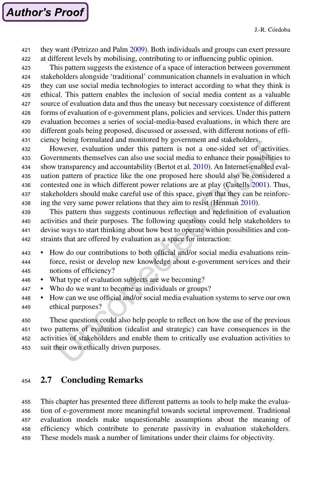they want (Petrizzo and Palm [2009](#page-16-0)). Both individuals and groups can exert pressure at different levels by mobilising, contributing to or influencing public opinion. 421 422

This pattern suggests the existence of a space of interaction between government stakeholders alongside 'traditional' communication channels in evaluation in which they can use social media technologies to interact according to what they think is ethical. This pattern enables the inclusion of social media content as a valuable source of evaluation data and thus the uneasy but necessary coexistence of different forms of evaluation of e-government plans, policies and services. Under this pattern evaluation becomes a series of social-media-based evaluations, in which there are different goals being proposed, discussed or assessed, with different notions of efficiency being formulated and monitored by government and stakeholders. 423 424 425 426 427 428 429 430 431

However, evaluation under this pattern is not a one-sided set of activities. Governments themselves can also use social media to enhance their possibilities to show transparency and accountability (Bertot et al. [2010](#page-14-0)). An Internet-enabled evaluation pattern of practice like the one proposed here should also be considered a contested one in which different power relations are at play (Castells [2001](#page-14-0)). Thus, stakeholders should make careful use of this space, given that they can be reinforcing the very same power relations that they aim to resist (Henman [2010](#page-15-0)). 432 433 434 435 436 437 438

This pattern thus suggests continuous reflection and redefinition of evaluation activities and their purposes. The following questions could help stakeholders to devise ways to start thinking about how best to operate within possibilities and constraints that are offered by evaluation as a space for interaction: 439  $440$ 441 442

- • How do our contributions to both official and/or social media evaluations reinforce, resist or develop new knowledge about e-government services and their notions of efficiency? 443 444 445
- What type of evaluation subjects are we becoming? 446
- Who do we want to become as individuals or groups? 447
- • How can we use official and/or social media evaluation systems to serve our own ethical purposes? 448 449

These questions could also help people to reflect on how the use of the previous two patterns of evaluation (idealist and strategic) can have consequences in the activities of stakeholders and enable them to critically use evaluation activities to suit their own ethically driven purposes. 450 451 452 453

#### **2.7 Concluding Remarks** 454

This chapter has presented three different patterns as tools to help make the evaluation of e-government more meaningful towards societal improvement. Traditional evaluation models make unquestionable assumptions about the meaning of efficiency which contribute to generate passivity in evaluation stakeholders. These models mask a number of limitations under their claims for objectivity. 455 456 457 458 459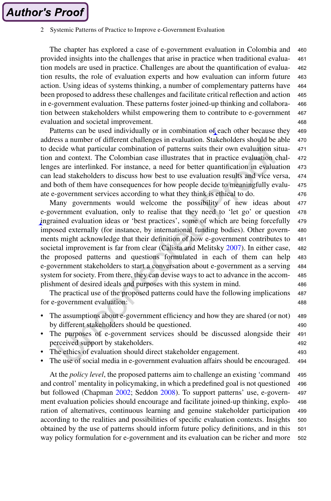**Author's Proof** 

2 Systemic Patterns of Practice to Improve e-Government Evaluation

The chapter has explored a case of e-government evaluation in Colombia and provided insights into the challenges that arise in practice when traditional evaluation models are used in practice. Challenges are about the quantification of evaluation results, the role of evaluation experts and how evaluation can inform future action. Using ideas of systems thinking, a number of complementary patterns have been proposed to address these challenges and facilitate critical reflection and action in e-government evaluation. These patterns foster joined-up thinking and collaboration between stakeholders whilst empowering them to contribute to e-government evaluation and societal improvement. 460 461 462 463 464 465 466 467 468

Patterns can be used individually or in combination  $\Theta$  each other because they address a number of different challenges in evaluation. Stakeholders should be able to decide what particular combination of patterns suits their own evaluation situation and context. The Colombian case illustrates that in practice evaluation challenges are interlinked. For instance, a need for better quantification in evaluation can lead stakeholders to discuss how best to use evaluation results and vice versa, and both of them have consequences for how people decide to meaningfully evaluate e-government services according to what they think is ethical to do. 469 470 471 472 473 474 475 476

Many governments would welcome the possibility of new ideas about e-government evaluation, only to realise that they need to 'let go' or question ingrained evaluation ideas or 'best practices', some of which are being forcefully imposed externally (for instance, by international funding bodies). Other governments might acknowledge that their definition of how e-government contributes to societal improvement is far from clear (Calista and Melitsky [2007](#page-14-0)). In either case, the proposed patterns and questions formulated in each of them can help e-government stakeholders to start a conversation about e-government as a serving system for society. From there, they can devise ways to act to advance in the accomplishment of desired ideals and purposes with this system in mind. 477 478 479 480 481 482 483 484 485 486

The practical use of the proposed patterns could have the following implications for e-government evaluation: 487 488

- The assumptions about e-government efficiency and how they are shared (or not) by different stakeholders should be questioned. 489 490
- The purposes of e-government services should be discussed alongside their perceived support by stakeholders. 491 492
- • The ethics of evaluation should direct stakeholder engagement.
- • The use of social media in e-government evaluation affairs should be encouraged. 494

493

At the *policy level*, the proposed patterns aim to challenge an existing 'command and control' mentality in policymaking, in which a predefined goal is not questioned but followed (Chapman [2002;](#page-14-0) Seddon [2008](#page-16-0)). To support patterns' use, e-government evaluation policies should encourage and facilitate joined-up thinking, exploration of alternatives, continuous learning and genuine stakeholder participation according to the realities and possibilities of specific evaluation contexts. Insights obtained by the use of patterns should inform future policy definitions, and in this way policy formulation for e-government and its evaluation can be richer and more 495 496 497 498 499 500 501 502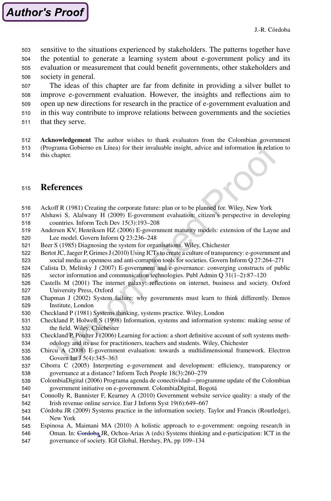<span id="page-14-0"></span>

sensitive to the situations experienced by stakeholders. The patterns together have the potential to generate a learning system about e-government policy and its evaluation or measurement that could benefit governments, other stakeholders and society in general. 503 504 505 506

The ideas of this chapter are far from definite in providing a silver bullet to improve e-government evaluation. However, the insights and reflections aim to open up new directions for research in the practice of e-government evaluation and in this way contribute to improve relations between governments and the societies 507 508 509 510

that they serve. 511

**Acknowledgement** The author wishes to thank evaluators from the Colombian government (Programa Gobierno en Línea) for their invaluable insight, advice and information in relation to this chapter. 512 513 514

#### **References** 515

- Ackoff R (1981) Creating the corporate future: plan or to be planned for. Wiley, New York 516
- Alshawi S, Alalwany H (2009) E-government evaluation: citizen's perspective in developing countries. Inform Tech Dev 15(3):193–208 517 518
- Andersen KV, Henriksen HZ (2006) E-government maturity models: extension of the Layne and Lee model. Govern Inform Q 23:236–248 519 520
- Beer S (1985) Diagnosing the system for organisations. Wiley, Chichester 521
- Bertot JC, Jaeger P, Grimes J (2010) Using ICTs to create a culture of transparency: e-government and social media as openness and anti-corruption tools for societies. Govern Inform Q 27:264–271 522 523
- Calista D, Melitsky J (2007) E-government and e-governance: converging constructs of public sector information and communication technologies. Publ Admin Q 31(1–2):87–120 524 525
- Castells M (2001) The internet galaxy: reflections on internet, business and society. Oxford University Press, Oxford 526 527
- Chapman J (2002) System failure: why governments must learn to think differently. Demos Institute, London 528 529
- Checkland P (1981) Systems thinking, systems practice. Wiley, London 530
- Checkland P, Holwell S (1998) Information, systems and information systems: making sense of the field. Wiley, Chichester 531 532
- Checkland P, Poulter J (2006) Learning for action: a short definitive account of soft systems methodology and its use for practitioners, teachers and students. Wiley, Chichester 533 534
- Chircu A (2008) E-government evaluation: towards a multidimensional framework. Electron Govern Int J 5(4):345-363 535 536
- Ciborra C (2005) Interpreting e-government and development: efficiency, transparency or governance at a distance? Inform Tech People 18(3):260–279 537 538
- ColombiaDigital (2006) Programa agenda de conectividad—programme update of the Colombian government initiative on e-government. ColombiaDigital, Bogotá 539 540
- Connolly R, Bannister F, Kearney A (2010) Government website service quality: a study of the Irish revenue online service. Eur J Inform Syst 19(6):649–667 541 542
- Córdoba JR (2009) Systems practice in the information society. Taylor and Francis (Routledge), New York 543 544
- Espinosa A, Maimani MA (2010) A holistic approach to e-government: ongoing research in Oman. In: Cordoba JR, Ochoa-Arias A (eds) Systems thinking and e-participation: ICT in the 545 546
- governance of society. IGI Global, Hershey, PA, pp 109–134 547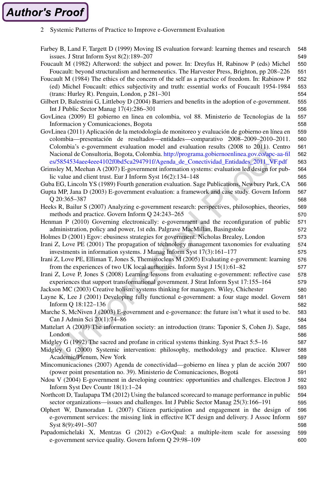# <span id="page-15-0"></span>**Author's Proof**

2 Systemic Patterns of Practice to Improve e-Government Evaluation

| Farbey B, Land F, Targett D (1999) Moving IS evaluation forward: learning themes and research      | 548 |
|----------------------------------------------------------------------------------------------------|-----|
| issues. J Strat Inform Syst 8(2):189-207                                                           | 549 |
| Foucault M (1982) Afterword: the subject and power. In: Dreyfus H, Rabinow P (eds) Michel          | 550 |
| Foucault: beyond structuralism and hermeneutics. The Harvester Press, Brighton, pp 208-226         | 551 |
| Foucault M (1984) The ethics of the concern of the self as a practice of freedom. In: Rabinow P    | 552 |
| (ed) Michel Foucault: ethics subjectivity and truth: essential works of Foucault 1954-1984         | 553 |
| (trans: Hurley R). Penguin, London, p 281-301                                                      | 554 |
| Gilbert D, Balestrini G, Littleboy D (2004) Barriers and benefits in the adoption of e-government. | 555 |
| Int J Public Sector Manag 17(4):286-301                                                            | 556 |
| GovLinea (2009) El gobierno en linea en colombia, vol 88. Ministerio de Tecnologias de la          | 557 |
| Informacion y Comunicaciones, Bogota                                                               | 558 |
| GovLinea (2011) Aplicación de la metodología de monitoreo y evaluación de gobierno en línea en     | 559 |
| colombia-presentación de resultados-entidades-comparativo 2008-2009-2010-2011.                     | 560 |
| Colombia's e-government evaluation model and evaluation results (2008 to 2011). Centro             | 561 |
| Nacional de Consultoria, Bogota, Colombia. http://programa.gobiernoenlinea.gov.co/apc-aa-fil       | 562 |
| es/5854534aee4eee4102f0bd5ca294791f/Agenda_de_Conectividad_Entidades_2011_VF.pdf                   | 563 |
| Grimsley M, Meehan A (2007) E-government information systems: evaluation led design for pub-       | 564 |
| lic value and client trust. Eur J Inform Syst 16(2):134-148                                        | 565 |
| Guba EG, Lincoln YS (1989) Fourth generation evaluation. Sage Publications, Newbury Park, CA       | 566 |
| Gupta MP, Jana D (2003) E-government evaluation: a framework and case study. Govern Inform         | 567 |
| Q 20:365-387                                                                                       | 568 |
| Heeks R, Bailur S (2007) Analyzing e-government research: perspectives, philosophies, theories,    | 569 |
| methods and practice. Govern Inform Q 24:243-265                                                   | 570 |
| Henman P (2010) Governing electronically: e-government and the reconfiguration of public           | 571 |
| administration, policy and power, 1st edn. Palgrave MacMillan, Basingstoke                         | 572 |
| Holmes D (2001) Egov: ebusiness strategies for government. Nicholas Brealey, London                | 573 |
| Irani Z, Love PE (2001) The propagation of technology management taxonomies for evaluating         | 574 |
| investments in information systems. J Manag Inform Syst 17(3):161-177                              | 575 |
| Irani Z, Love PE, Elliman T, Jones S, Themistocleus M (2005) Evaluating e-government: learning     | 576 |
| from the experiences of two UK local authorities. Inform Syst $J 15(1):61-82$                      | 577 |
| Irani Z, Love P, Jones S (2008) Learning lessons from evaluating e-government: reflective case     | 578 |
| experiences that support transformational government. J Strat Inform Syst 17:155-164               | 579 |
| Jackson MC (2003) Creative holism: systems thinking for managers. Wiley, Chichester                | 580 |
| Layne K, Lee J (2001) Developing fully functional e-government: a four stage model. Govern         | 581 |
| Inform Q 18:122-136                                                                                | 582 |
| Marche S, McNiven J (2003) E-government and e-governance: the future isn't what it used to be.     | 583 |
| Can J Admin Sci 20(1):74-86                                                                        | 584 |
| Mattelart A (2003) The information society: an introduction (trans: Taponier S, Cohen J). Sage,    | 585 |
| London                                                                                             | 586 |
| Midgley G (1992) The sacred and profane in critical systems thinking. Syst Pract 5:5–16            | 587 |
| Midgley G (2000) Systemic intervention: philosophy, methodology and practice. Kluwer               | 588 |
| Academic/Plenum, New York                                                                          | 589 |
| Mincomunicaciones (2007) Agenda de conectividad—gobierno en línea y plan de acción 2007            | 590 |
| (power point presentation no. 39). Ministerio de Comunicaciones, Bogotá                            | 591 |
| Ndou V (2004) E-government in developing countries: opportunities and challenges. Electron J       | 592 |
| Inform Syst Dev Countr 18(1):1-24                                                                  | 593 |
| Northcott D, Taulapapa TM (2012) Using the balanced scorecard to manage performance in public      | 594 |
| sector organizations—issues and challenges. Int J Public Sector Manag 25(3):166-191                | 595 |
| Olphert W, Damoradan L (2007) Citizen participation and engagement in the design of                | 596 |
| e-government services: the missing link in effective ICT design and delivery. J Assoc Inform       | 597 |
| Syst 8(9):491-507                                                                                  | 598 |
| Papadomichelaki X, Mentzas G (2012) e-GovQual: a multiple-item scale for assessing                 | 599 |
| e-government service quality. Govern Inform Q 29:98-109                                            | 600 |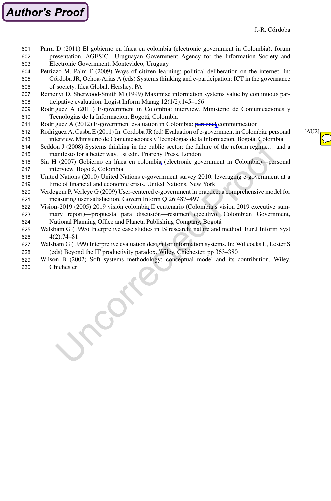## <span id="page-16-0"></span>**Author's Proof**

- Parra D (2011) El gobierno en línea en colombia (electronic government in Colombia), forum presentation. AGESIC—Uruguayan Government Agency for the Information Society and Electronic Government, Montevideo, Uruguay 601 602 603
- Petrizzo M, Palm F (2009) Ways of citizen learning: political deliberation on the internet. In: Córdoba JR, Ochoa-Arias A (eds) Systems thinking and e-participation: ICT in the governance of society. Idea Global, Hershey, PA 604 605 606
- Remenyi D, Sherwood-Smith M (1999) Maximise information systems value by continuous participative evaluation. Logist Inform Manag 12(1/2):145–156 607 608
- Rodriguez A (2011) E-government in Colombia: interview. Ministerio de Comunicaciones y Tecnologias de la Informacion, Bogotá, Colombia 609 610
- Rodriguez A (2012) E-government evaluation in Colombia: personal communication 611
- Rodriguez A, Cusba E (2011) In: Cordoba JR (ed) Evaluation of e-government in Colombia: personal interview. Ministerio de Comunicaciones y Tecnologias de la Informacion, Bogotá, Colombia 612 613
- Seddon J (2008) Systems thinking in the public sector: the failure of the reform regime… and a manifesto for a better way, 1st edn. Triarchy Press, London 614 615
- Sin H (2007) Gobierno en línea en e<del>olombia</del> (electronic government in Colombia)—personal interview. Bogotá, Colombia 616 617
- United Nations (2010) United Nations e-government survey 2010: leveraging e-government at a time of financial and economic crisis. United Nations, New York 618 619
- Verdegem P, Verleye G (2009) User-centered e-government in practice: a comprehensive model for measuring user satisfaction. Govern Inform Q 26:487–497 620 621
- Vision-2019 (2005) 2019 visión eolombia II centenario (Colombia's vision 2019 executive summary report)—propuesta para discusión—resumen ejecutivo. Colombian Government, National Planning Office and Planeta Publishing Company, Bogotá 622 623 624
- Walsham G (1995) Interpretive case studies in IS research: nature and method. Eur J Inform Syst 4(2):74–81 625 626
- Walsham G (1999) Interpretive evaluation design for information systems. In: Willcocks L, Lester S (eds) Beyond the IT productivity paradox. Wiley, Chichester, pp 363–380 627 628
- Wilson B (2002) Soft systems methodology: conceptual model and its contribution. Wiley, Chichester 629 630

[AU2]